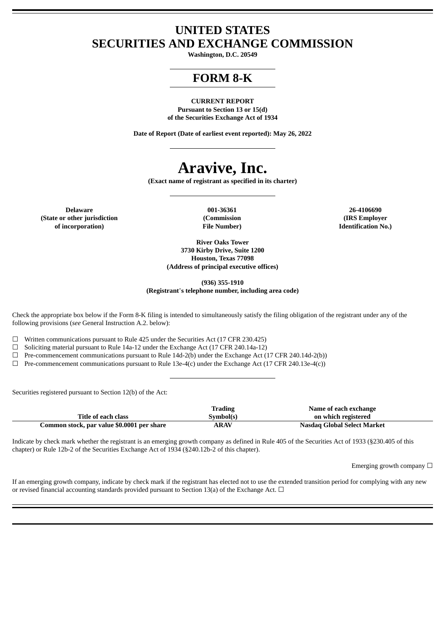# **UNITED STATES SECURITIES AND EXCHANGE COMMISSION**

**Washington, D.C. 20549**

# **FORM 8-K**

**CURRENT REPORT Pursuant to Section 13 or 15(d) of the Securities Exchange Act of 1934**

**Date of Report (Date of earliest event reported): May 26, 2022**

# **Aravive, Inc.**

**(Exact name of registrant as specified in its charter)**

**Delaware 001-36361 26-4106690 (State or other jurisdiction of incorporation)**

**(Commission File Number)**

**(IRS Employer Identification No.)**

**River Oaks Tower 3730 Kirby Drive, Suite 1200 Houston, Texas 77098 (Address of principal executive offices)**

**(936) 355-1910**

**(Registrant**'**s telephone number, including area code)**

Check the appropriate box below if the Form 8-K filing is intended to simultaneously satisfy the filing obligation of the registrant under any of the following provisions (*see* General Instruction A.2. below):

 $\Box$  Written communications pursuant to Rule 425 under the Securities Act (17 CFR 230.425)<br>  $\Box$  Soliciting material pursuant to Rule 14a-12 under the Exchange Act (17 CFR 240.14a-12)

Soliciting material pursuant to Rule 14a-12 under the Exchange Act (17 CFR 240.14a-12)

 $\Box$  Pre-commencement communications pursuant to Rule 14d-2(b) under the Exchange Act (17 CFR 240.14d-2(b))

 $\Box$  Pre-commencement communications pursuant to Rule 13e-4(c) under the Exchange Act (17 CFR 240.13e-4(c))

Securities registered pursuant to Section 12(b) of the Act:

|                                            | <b>Trading</b> | Name of each exchange       |  |
|--------------------------------------------|----------------|-----------------------------|--|
| Title of each class                        | Symbol(s)      | on which registered         |  |
| Common stock, par value \$0.0001 per share | <b>ARAV</b>    | Nasdag Global Select Market |  |

Indicate by check mark whether the registrant is an emerging growth company as defined in Rule 405 of the Securities Act of 1933 (§230.405 of this chapter) or Rule 12b-2 of the Securities Exchange Act of 1934 (§240.12b-2 of this chapter).

Emerging growth company  $\Box$ 

If an emerging growth company, indicate by check mark if the registrant has elected not to use the extended transition period for complying with any new or revised financial accounting standards provided pursuant to Section 13(a) of the Exchange Act.  $\Box$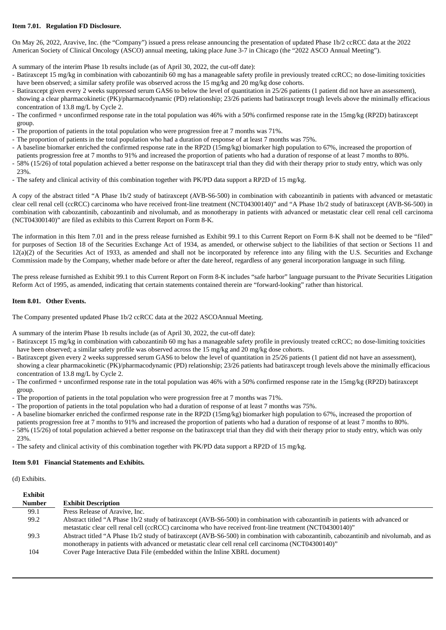# **Item 7.01. Regulation FD Disclosure.**

On May 26, 2022, Aravive, Inc. (the "Company") issued a press release announcing the presentation of updated Phase 1b/2 ccRCC data at the 2022 American Society of Clinical Oncology (ASCO) annual meeting, taking place June 3-7 in Chicago (the "2022 ASCO Annual Meeting").

A summary of the interim Phase 1b results include (as of April 30, 2022, the cut-off date):

- Batiraxcept 15 mg/kg in combination with cabozantinib 60 mg has a manageable safety profile in previously treated ccRCC; no dose-limiting toxicities have been observed; a similar safety profile was observed across the 15 mg/kg and 20 mg/kg dose cohorts.
- Batiraxcept given every 2 weeks suppressed serum GAS6 to below the level of quantitation in 25/26 patients (1 patient did not have an assessment), showing a clear pharmacokinetic (PK)/pharmacodynamic (PD) relationship; 23/26 patients had batiraxcept trough levels above the minimally efficacious concentration of 13.8 mg/L by Cycle 2.
- The confirmed + unconfirmed response rate in the total population was 46% with a 50% confirmed response rate in the 15mg/kg (RP2D) batiraxcept group.
- The proportion of patients in the total population who were progression free at 7 months was 71%.
- The proportion of patients in the total population who had a duration of response of at least 7 months was 75%.
- A baseline biomarker enriched the confirmed response rate in the RP2D (15mg/kg) biomarker high population to 67%, increased the proportion of
- patients progression free at 7 months to 91% and increased the proportion of patients who had a duration of response of at least 7 months to 80%.
- 58% (15/26) of total population achieved a better response on the batiraxcept trial than they did with their therapy prior to study entry, which was only 23%.
- The safety and clinical activity of this combination together with PK/PD data support a RP2D of 15 mg/kg.

A copy of the abstract titled "A Phase 1b/2 study of batiraxcept (AVB-S6-500) in combination with cabozantinib in patients with advanced or metastatic clear cell renal cell (ccRCC) carcinoma who have received front-line treatment (NCT04300140)" and "A Phase 1b/2 study of batiraxcept (AVB-S6-500) in combination with cabozantinib, cabozantinib and nivolumab, and as monotherapy in patients with advanced or metastatic clear cell renal cell carcinoma (NCT04300140)" are filed as exhibits to this Current Report on Form 8-K.

The information in this Item 7.01 and in the press release furnished as Exhibit 99.1 to this Current Report on Form 8-K shall not be deemed to be "filed" for purposes of Section 18 of the Securities Exchange Act of 1934, as amended, or otherwise subject to the liabilities of that section or Sections 11 and 12(a)(2) of the Securities Act of 1933, as amended and shall not be incorporated by reference into any filing with the U.S. Securities and Exchange Commission made by the Company, whether made before or after the date hereof, regardless of any general incorporation language in such filing.

The press release furnished as Exhibit 99.1 to this Current Report on Form 8-K includes "safe harbor" language pursuant to the Private Securities Litigation Reform Act of 1995, as amended, indicating that certain statements contained therein are "forward-looking" rather than historical.

#### **Item 8.01. Other Events.**

The Company presented updated Phase 1b/2 ccRCC data at the 2022 ASCOAnnual Meeting.

A summary of the interim Phase 1b results include (as of April 30, 2022, the cut-off date):

- Batiraxcept 15 mg/kg in combination with cabozantinib 60 mg has a manageable safety profile in previously treated ccRCC; no dose-limiting toxicities have been observed; a similar safety profile was observed across the 15 mg/kg and 20 mg/kg dose cohorts.
- Batiraxcept given every 2 weeks suppressed serum GAS6 to below the level of quantitation in 25/26 patients (1 patient did not have an assessment), showing a clear pharmacokinetic (PK)/pharmacodynamic (PD) relationship; 23/26 patients had batiraxcept trough levels above the minimally efficacious concentration of 13.8 mg/L by Cycle 2.
- The confirmed + unconfirmed response rate in the total population was 46% with a 50% confirmed response rate in the 15mg/kg (RP2D) batiraxcept group.
- The proportion of patients in the total population who were progression free at 7 months was 71%.
- The proportion of patients in the total population who had a duration of response of at least 7 months was 75%.
- A baseline biomarker enriched the confirmed response rate in the RP2D (15mg/kg) biomarker high population to 67%, increased the proportion of
- patients progression free at 7 months to 91% and increased the proportion of patients who had a duration of response of at least 7 months to 80%.
- 58% (15/26) of total population achieved a better response on the batiraxcept trial than they did with their therapy prior to study entry, which was only 23%.
- The safety and clinical activity of this combination together with PK/PD data support a RP2D of 15 mg/kg.

#### **Item 9.01 Financial Statements and Exhibits.**

(d) Exhibits.

| Exhibit       |                                                                                                                                      |
|---------------|--------------------------------------------------------------------------------------------------------------------------------------|
| <b>Number</b> | <b>Exhibit Description</b>                                                                                                           |
| 99.1          | Press Release of Aravive, Inc.                                                                                                       |
| 99.2          | Abstract titled "A Phase 1b/2 study of batiraxcept (AVB-S6-500) in combination with cabozantinib in patients with advanced or        |
|               | metastatic clear cell renal cell (ccRCC) carcinoma who have received front-line treatment (NCT04300140)"                             |
| 99.3          | Abstract titled "A Phase 1b/2 study of batiraxcept (AVB-S6-500) in combination with cabozantinib, cabozantinib and nivolumab, and as |
|               | monotherapy in patients with advanced or metastatic clear cell renal cell carcinoma (NCT04300140)"                                   |
| 104           | Cover Page Interactive Data File (embedded within the Inline XBRL document)                                                          |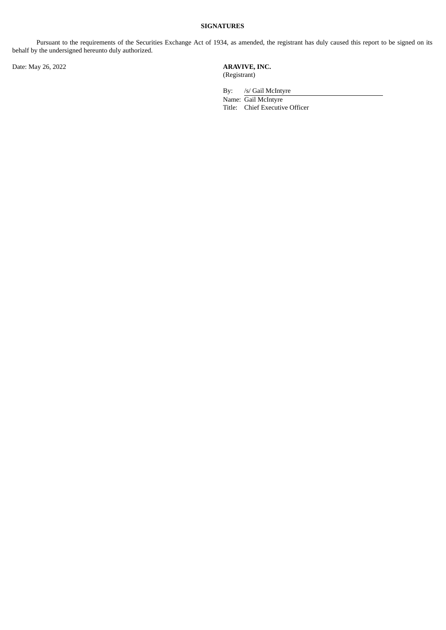# **SIGNATURES**

Pursuant to the requirements of the Securities Exchange Act of 1934, as amended, the registrant has duly caused this report to be signed on its behalf by the undersigned hereunto duly authorized.

Date: May 26, 2022 **ARAVIVE, INC.** (Registrant)

> By: /s/ Gail McIntyre Name: Gail McIntyre Title: Chief Executive Officer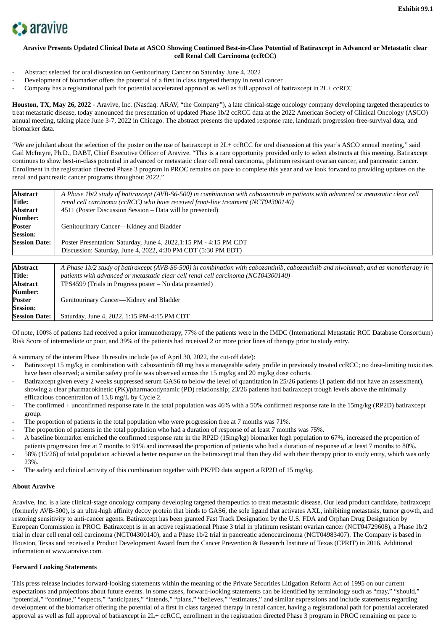

## Aravive Presents Updated Clinical Data at ASCO Showing Continued Best-in-Class Potential of Batiraxcept in Advanced or Metastatic clear **cell Renal Cell Carcinoma (ccRCC)**

- Abstract selected for oral discussion on Genitourinary Cancer on Saturday June 4, 2022
- Development of biomarker offers the potential of a first in class targeted therapy in renal cancer
- Company has a registrational path for potential accelerated approval as well as full approval of batiraxcept in 2L+ ccRCC

**Houston, TX, May 26, 2022** - Aravive, Inc. (Nasdaq: ARAV, "the Company"), a late clinical-stage oncology company developing targeted therapeutics to treat metastatic disease, today announced the presentation of updated Phase 1b/2 ccRCC data at the 2022 American Society of Clinical Oncology (ASCO) annual meeting, taking place June 3-7, 2022 in Chicago. The abstract presents the updated response rate, landmark progression-free-survival data, and biomarker data.

"We are jubilant about the selection of the poster on the use of batiraxcept in 2L+ ccRCC for oral discussion at this year's ASCO annual meeting," said Gail McIntyre, Ph.D., DABT, Chief Executive Officer of Aravive. "This is a rare opportunity provided only to select abstracts at this meeting. Batiraxcept continues to show best-in-class potential in advanced or metastatic clear cell renal carcinoma, platinum resistant ovarian cancer, and pancreatic cancer. Enrollment in the registration directed Phase 3 program in PROC remains on pace to complete this year and we look forward to providing updates on the renal and pancreatic cancer programs throughout 2022."

| <b>Abstract</b>      | A Phase 1b/2 study of batiraxcept (AVB-S6-500) in combination with cabozantinib in patients with advanced or metastatic clear cell |  |  |  |
|----------------------|------------------------------------------------------------------------------------------------------------------------------------|--|--|--|
| Title:               | renal cell carcinoma (ccRCC) who have received front-line treatment (NCT04300140)                                                  |  |  |  |
| Abstract             | 4511 (Poster Discussion Session – Data will be presented)                                                                          |  |  |  |
| Number:              |                                                                                                                                    |  |  |  |
| Poster               | Genitourinary Cancer—Kidney and Bladder                                                                                            |  |  |  |
| <b>Session:</b>      |                                                                                                                                    |  |  |  |
| <b>Session Date:</b> | Poster Presentation: Saturday, June 4, 2022,1:15 PM - 4:15 PM CDT                                                                  |  |  |  |
|                      | Discussion: Saturday, June 4, 2022, 4:30 PM CDT (5:30 PM EDT)                                                                      |  |  |  |
|                      |                                                                                                                                    |  |  |  |
| <b>Abstract</b>      | A Phase 1b/2 study of batiraxcept (AVB-S6-500) in combination with cabozantinib, cabozantinib and nivolumab, and as monotherapy in |  |  |  |
| Title:               | patients with advanced or metastatic clear cell renal cell carcinoma (NCT04300140)                                                 |  |  |  |
| <b>Abstract</b>      | $TPS4599$ (Trials in Progress poster $-$ No data presented)                                                                        |  |  |  |
| Number:              |                                                                                                                                    |  |  |  |
| Poster               | Genitourinary Cancer—Kidney and Bladder                                                                                            |  |  |  |

Of note, 100% of patients had received a prior immunotherapy, 77% of the patients were in the IMDC (International Metastatic RCC Database Consortium) Risk Score of intermediate or poor, and 39% of the patients had received 2 or more prior lines of therapy prior to study entry.

A summary of the interim Phase 1b results include (as of April 30, 2022, the cut-off date):

**Session Date:** Saturday, June 4, 2022, 1:15 PM-4:15 PM CDT

- Batiraxcept 15 mg/kg in combination with cabozantinib 60 mg has a manageable safety profile in previously treated ccRCC; no dose-limiting toxicities have been observed; a similar safety profile was observed across the 15 mg/kg and 20 mg/kg dose cohorts.
- Batiraxcept given every 2 weeks suppressed serum GAS6 to below the level of quantitation in 25/26 patients (1 patient did not have an assessment), showing a clear pharmacokinetic (PK)/pharmacodynamic (PD) relationship; 23/26 patients had batiraxcept trough levels above the minimally efficacious concentration of 13.8 mg/L by Cycle 2.
- The confirmed + unconfirmed response rate in the total population was 46% with a 50% confirmed response rate in the 15mg/kg (RP2D) batiraxcept group.
- The proportion of patients in the total population who were progression free at 7 months was 71%.
- The proportion of patients in the total population who had a duration of response of at least 7 months was 75%.
- A baseline biomarker enriched the confirmed response rate in the RP2D (15mg/kg) biomarker high population to 67%, increased the proportion of
- patients progression free at 7 months to 91% and increased the proportion of patients who had a duration of response of at least 7 months to 80%. - 58% (15/26) of total population achieved a better response on the batiraxcept trial than they did with their therapy prior to study entry, which was only 23%.
- The safety and clinical activity of this combination together with PK/PD data support a RP2D of 15 mg/kg.

#### **About Aravive**

**Session:**

Aravive, Inc. is a late clinical-stage oncology company developing targeted therapeutics to treat metastatic disease. Our lead product candidate, batiraxcept (formerly AVB-500), is an ultra-high affinity decoy protein that binds to GAS6, the sole ligand that activates AXL, inhibiting metastasis, tumor growth, and restoring sensitivity to anti-cancer agents. Batiraxcept has been granted Fast Track Designation by the U.S. FDA and Orphan Drug Designation by European Commission in PROC. Batiraxcept is in an active registrational Phase 3 trial in platinum resistant ovarian cancer (NCT04729608), a Phase 1b/2 trial in clear cell renal cell carcinoma (NCT04300140), and a Phase 1b/2 trial in pancreatic adenocarcinoma (NCT04983407). The Company is based in Houston, Texas and received a Product Development Award from the Cancer Prevention & Research Institute of Texas (CPRIT) in 2016. Additional information at www.aravive.com.

#### **Forward Looking Statements**

This press release includes forward-looking statements within the meaning of the Private Securities Litigation Reform Act of 1995 on our current expectations and projections about future events. In some cases, forward-looking statements can be identified by terminology such as "may," "should," "potential," "continue," "expects," "anticipates," "intends," "plans," "believes," "estimates," and similar expressions and include statements regarding development of the biomarker offering the potential of a first in class targeted therapy in renal cancer, having a registrational path for potential accelerated approval as well as full approval of batiraxcept in 2L+ ccRCC, enrollment in the registration directed Phase 3 program in PROC remaining on pace to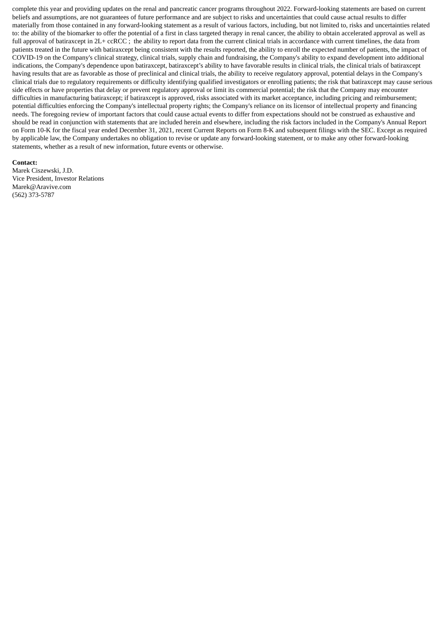complete this year and providing updates on the renal and pancreatic cancer programs throughout 2022. Forward-looking statements are based on current beliefs and assumptions, are not guarantees of future performance and are subject to risks and uncertainties that could cause actual results to differ materially from those contained in any forward-looking statement as a result of various factors, including, but not limited to, risks and uncertainties related to: the ability of the biomarker to offer the potential of a first in class targeted therapy in renal cancer, the ability to obtain accelerated approval as well as full approval of batiraxcept in  $2L + c\text{cRCC}$ ; the ability to report data from the current clinical trials in accordance with current timelines, the data from patients treated in the future with batiraxcept being consistent with the results reported, the ability to enroll the expected number of patients, the impact of COVID-19 on the Company's clinical strategy, clinical trials, supply chain and fundraising, the Company's ability to expand development into additional indications, the Company's dependence upon batiraxcept, batiraxcept's ability to have favorable results in clinical trials, the clinical trials of batiraxcept having results that are as favorable as those of preclinical and clinical trials, the ability to receive regulatory approval, potential delays in the Company's clinical trials due to regulatory requirements or difficulty identifying qualified investigators or enrolling patients; the risk that batiraxcept may cause serious side effects or have properties that delay or prevent regulatory approval or limit its commercial potential; the risk that the Company may encounter difficulties in manufacturing batiraxcept; if batiraxcept is approved, risks associated with its market acceptance, including pricing and reimbursement; potential difficulties enforcing the Company's intellectual property rights; the Company's reliance on its licensor of intellectual property and financing needs. The foregoing review of important factors that could cause actual events to differ from expectations should not be construed as exhaustive and should be read in conjunction with statements that are included herein and elsewhere, including the risk factors included in the Company's Annual Report on Form 10-K for the fiscal year ended December 31, 2021, recent Current Reports on Form 8-K and subsequent filings with the SEC. Except as required by applicable law, the Company undertakes no obligation to revise or update any forward-looking statement, or to make any other forward-looking statements, whether as a result of new information, future events or otherwise.

#### **Contact:**

Marek Ciszewski, J.D. Vice President, Investor Relations Marek@Aravive.com (562) 373-5787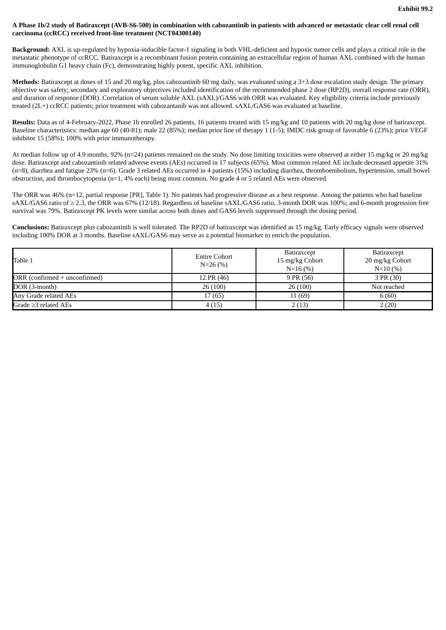### A Phase 1b/2 study of Batiraxcept (AVB-S6-500) in combination with cabozantinib in patients with advanced or metastatic clear cell renal cell **carcinoma (ccRCC) received front-line treatment (NCT04300140)**

**Background:** AXL is up-regulated by hypoxia-inducible factor-1 signaling in both VHL-deficient and hypoxic tumor cells and plays a critical role in the metastatic phenotype of ccRCC. Batiraxcept is a recombinant fusion protein containing an extracellular region of human AXL combined with the human immunoglobulin G1 heavy chain (Fc), demonstrating highly potent, specific AXL inhibition.

**Methods:** Batiraxcept at doses of 15 and 20 mg/kg, plus cabozantinib 60 mg daily, was evaluated using a 3+3 dose escalation study design. The primary objective was safety; secondary and exploratory objectives included identification of the recommended phase 2 dose (RP2D), overall response rate (ORR), and duration of response (DOR). Correlation of serum soluble AXL (sAXL)/GAS6 with ORR was evaluated. Key eligibility criteria include previously treated (2L+) ccRCC patients; prior treatment with cabozantanib was not allowed. sAXL/GAS6 was evaluated at baseline.

**Results:** Data as of 4-February-2022, Phase 1b enrolled 26 patients, 16 patients treated with 15 mg/kg and 10 patients with 20 mg/kg dose of batiraxcept. Baseline characteristics: median age 60 (40-81); male 22 (85%); median prior line of therapy 1 (1-5); IMDC risk group of favorable 6 (23%); prior VEGF inhibitor 15 (58%); 100% with prior immunotherapy.

At median follow up of 4.9 months, 92% (n=24) patients remained on the study. No dose limiting toxicities were observed at either 15 mg/kg or 20 mg/kg dose. Batiraxcept and cabozantinib related adverse events (AEs) occurred in 17 subjects (65%). Most common related AE include decreased appetite 31% (n=8), diarrhea and fatigue 23% (n=6). Grade 3 related AEs occurred in 4 patients (15%) including diarrhea, thromboembolism, hypertension, small bowel obstruction, and thrombocytopenia (n=1, 4% each) being most common. No grade 4 or 5 related AEs were observed.

The ORR was 46% (n=12, partial response [PR], Table 1). No patients had progressive disease as a best response. Among the patients who had baseline sAXL/GAS6 ratio of ≥ 2.3, the ORR was 67% (12/18). Regardless of baseline sAXL/GAS6 ratio, 3-month DOR was 100%; and 6-month progression free survival was 79%. Batiraxcept PK levels were similar across both doses and GAS6 levels suppressed through the dosing period.

**Conclusions:** Batiraxcept plus cabozantinib is well tolerated. The RP2D of batiraxcept was identified as 15 mg/kg. Early efficacy signals were observed including 100% DOR at 3 months. Baseline sAXL/GAS6 may serve as a potential biomarker to enrich the population.

| Table 1                                   | <b>Entire Cohort</b><br>$N=26(%)$ | Batiraxcept<br>15 mg/kg Cohort<br>$N=16(%)$ | Batiraxcept<br>20 mg/kg Cohort<br>$N=10(%)$ |
|-------------------------------------------|-----------------------------------|---------------------------------------------|---------------------------------------------|
| $ORR$ (confirmed $+$ unconfirmed)         | 12 PR (46)                        | 9 PR (56)                                   | 3 PR (30)                                   |
| $DOR$ (3-month)                           | 26(100)                           | 26(100)                                     | Not reached                                 |
| Any Grade related AEs                     | 17 (65)                           | 11 (69)                                     | 6(60)                                       |
| $\blacksquare$ Grade $\geq$ 3 related AEs | 4(15)                             | 2(13)                                       | 2(20)                                       |